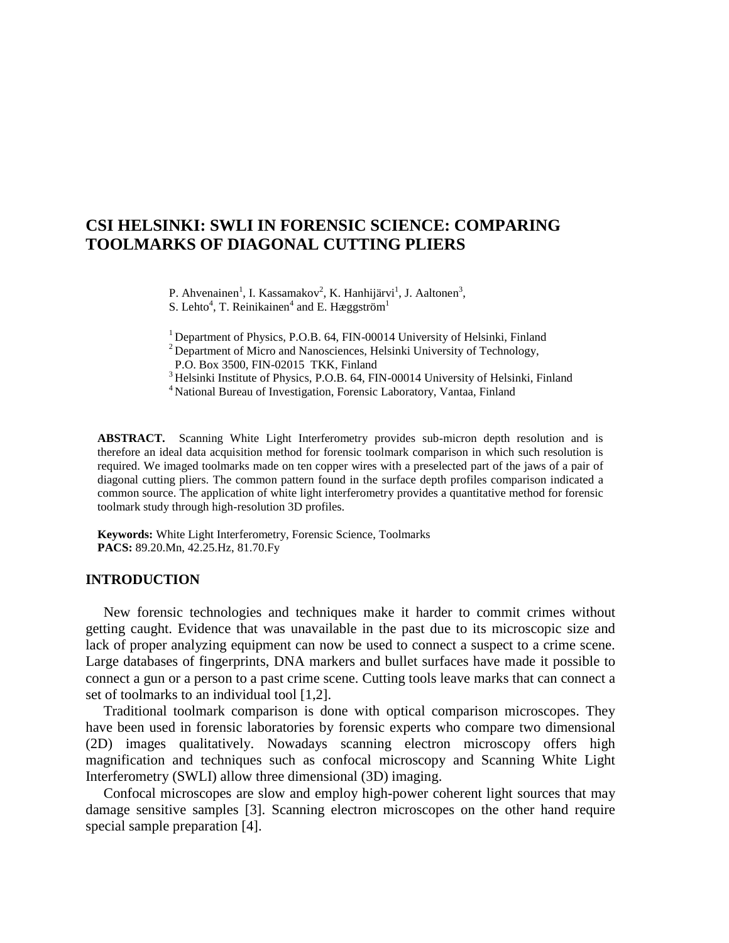# **CSI HELSINKI: SWLI IN FORENSIC SCIENCE: COMPARING TOOLMARKS OF DIAGONAL CUTTING PLIERS**

P. Ahvenainen<sup>1</sup>, I. Kassamakov<sup>2</sup>, K. Hanhijärvi<sup>1</sup>, J. Aaltonen<sup>3</sup>,

S. Lehto<sup>4</sup>, T. Reinikainen<sup>4</sup> and E. Hæggström<sup>1</sup>

<sup>1</sup> Department of Physics, P.O.B. 64, FIN-00014 University of Helsinki, Finland

<sup>2</sup> Department of Micro and Nanosciences, Helsinki University of Technology,

P.O. Box 3500, FIN-02015 TKK, Finland

<sup>3</sup> Helsinki Institute of Physics, P.O.B. 64, FIN-00014 University of Helsinki, Finland

<sup>4</sup>National Bureau of Investigation, Forensic Laboratory, Vantaa, Finland

**ABSTRACT.** Scanning White Light Interferometry provides sub-micron depth resolution and is therefore an ideal data acquisition method for forensic toolmark comparison in which such resolution is required. We imaged toolmarks made on ten copper wires with a preselected part of the jaws of a pair of diagonal cutting pliers. The common pattern found in the surface depth profiles comparison indicated a common source. The application of white light interferometry provides a quantitative method for forensic toolmark study through high-resolution 3D profiles.

**Keywords:** White Light Interferometry, Forensic Science, Toolmarks **PACS:** 89.20.Mn, 42.25.Hz, 81.70.Fy

## **INTRODUCTION**

 New forensic technologies and techniques make it harder to commit crimes without getting caught. Evidence that was unavailable in the past due to its microscopic size and lack of proper analyzing equipment can now be used to connect a suspect to a crime scene. Large databases of fingerprints, DNA markers and bullet surfaces have made it possible to connect a gun or a person to a past crime scene. Cutting tools leave marks that can connect a set of toolmarks to an individual tool [1,2].

 Traditional toolmark comparison is done with optical comparison microscopes. They have been used in forensic laboratories by forensic experts who compare two dimensional (2D) images qualitatively. Nowadays scanning electron microscopy offers high magnification and techniques such as confocal microscopy and Scanning White Light Interferometry (SWLI) allow three dimensional (3D) imaging.

 Confocal microscopes are slow and employ high-power coherent light sources that may damage sensitive samples [3]. Scanning electron microscopes on the other hand require special sample preparation [4].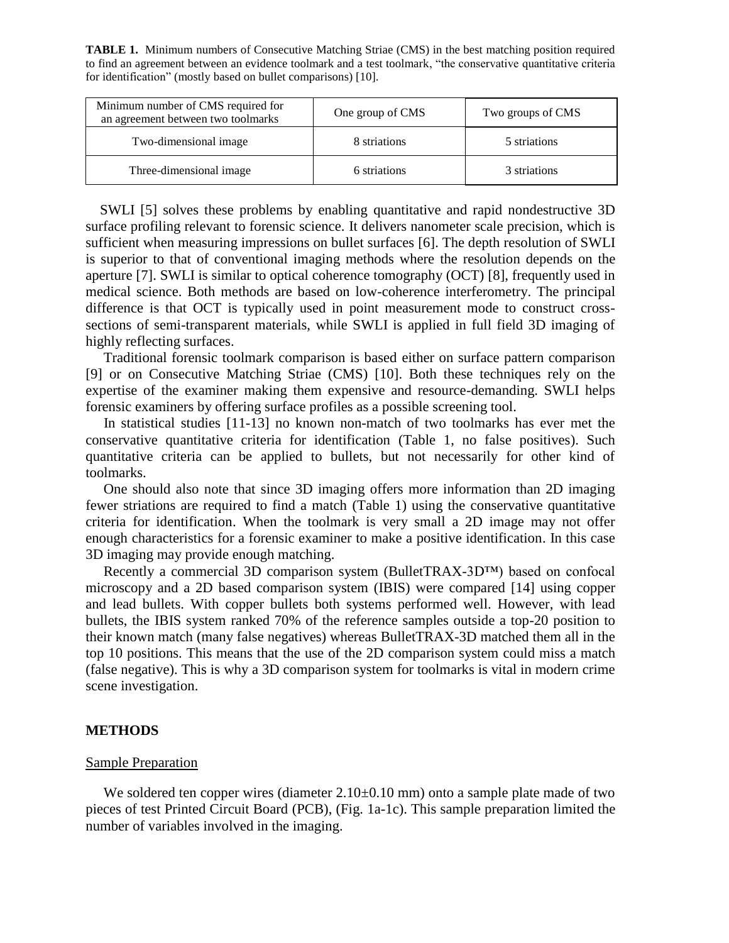**TABLE 1.** Minimum numbers of Consecutive Matching Striae (CMS) in the best matching position required to find an agreement between an evidence toolmark and a test toolmark, "the conservative quantitative criteria for identification" (mostly based on bullet comparisons) [10].

| Minimum number of CMS required for<br>an agreement between two toolmarks | One group of CMS | Two groups of CMS |
|--------------------------------------------------------------------------|------------------|-------------------|
| Two-dimensional image                                                    | 8 striations     | 5 striations      |
| Three-dimensional image                                                  | 6 striations     | 3 striations      |

 SWLI [5] solves these problems by enabling quantitative and rapid nondestructive 3D surface profiling relevant to forensic science. It delivers nanometer scale precision, which is sufficient when measuring impressions on bullet surfaces [6]. The depth resolution of SWLI is superior to that of conventional imaging methods where the resolution depends on the aperture [7]. SWLI is similar to optical coherence tomography (OCT) [8], frequently used in medical science. Both methods are based on low-coherence interferometry. The principal difference is that OCT is typically used in point measurement mode to construct crosssections of semi-transparent materials, while SWLI is applied in full field 3D imaging of highly reflecting surfaces.

 Traditional forensic toolmark comparison is based either on surface pattern comparison [9] or on Consecutive Matching Striae (CMS) [10]. Both these techniques rely on the expertise of the examiner making them expensive and resource-demanding. SWLI helps forensic examiners by offering surface profiles as a possible screening tool.

 In statistical studies [11-13] no known non-match of two toolmarks has ever met the conservative quantitative criteria for identification (Table 1, no false positives). Such quantitative criteria can be applied to bullets, but not necessarily for other kind of toolmarks.

 One should also note that since 3D imaging offers more information than 2D imaging fewer striations are required to find a match (Table 1) using the conservative quantitative criteria for identification. When the toolmark is very small a 2D image may not offer enough characteristics for a forensic examiner to make a positive identification. In this case 3D imaging may provide enough matching.

 Recently a commercial 3D comparison system (BulletTRAX-3D™) based on confocal microscopy and a 2D based comparison system (IBIS) were compared [14] using copper and lead bullets. With copper bullets both systems performed well. However, with lead bullets, the IBIS system ranked 70% of the reference samples outside a top-20 position to their known match (many false negatives) whereas BulletTRAX-3D matched them all in the top 10 positions. This means that the use of the 2D comparison system could miss a match (false negative). This is why a 3D comparison system for toolmarks is vital in modern crime scene investigation.

#### **METHODS**

#### Sample Preparation

We soldered ten copper wires (diameter  $2.10\pm0.10$  mm) onto a sample plate made of two pieces of test Printed Circuit Board (PCB), (Fig. 1a-1c). This sample preparation limited the number of variables involved in the imaging.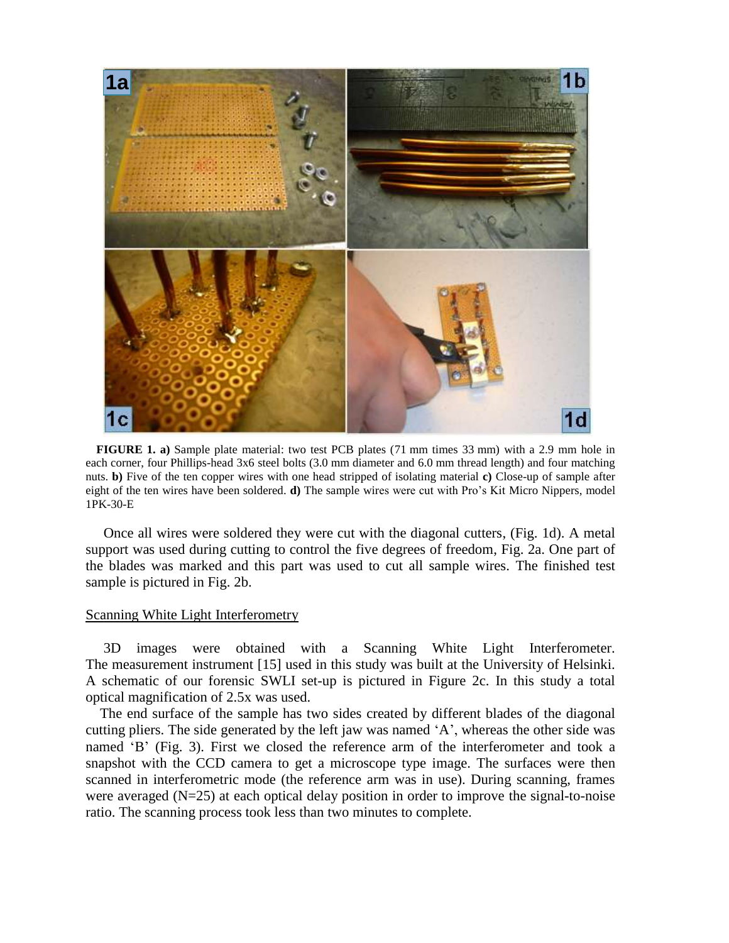

 **FIGURE 1. a)** Sample plate material: two test PCB plates (71 mm times 33 mm) with a 2.9 mm hole in each corner, four Phillips-head 3x6 steel bolts (3.0 mm diameter and 6.0 mm thread length) and four matching nuts. **b)** Five of the ten copper wires with one head stripped of isolating material **c)** Close-up of sample after eight of the ten wires have been soldered. **d)** The sample wires were cut with Pro"s Kit Micro Nippers, model 1PK-30-E

 Once all wires were soldered they were cut with the diagonal cutters, (Fig. 1d). A metal support was used during cutting to control the five degrees of freedom, Fig. 2a. One part of the blades was marked and this part was used to cut all sample wires. The finished test sample is pictured in Fig. 2b.

#### Scanning White Light Interferometry

 3D images were obtained with a Scanning White Light Interferometer. The measurement instrument [15] used in this study was built at the University of Helsinki. A schematic of our forensic SWLI set-up is pictured in Figure 2c. In this study a total optical magnification of 2.5x was used.

 The end surface of the sample has two sides created by different blades of the diagonal cutting pliers. The side generated by the left jaw was named "A", whereas the other side was named 'B' (Fig. 3). First we closed the reference arm of the interferometer and took a snapshot with the CCD camera to get a microscope type image. The surfaces were then scanned in interferometric mode (the reference arm was in use). During scanning, frames were averaged (N=25) at each optical delay position in order to improve the signal-to-noise ratio. The scanning process took less than two minutes to complete.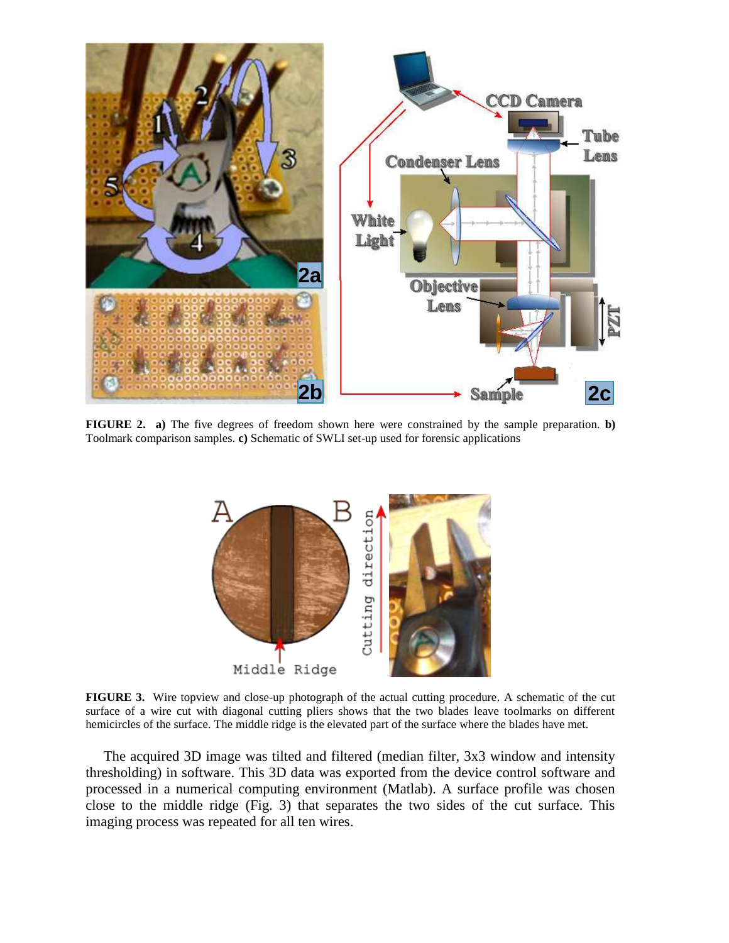

**FIGURE 2.** a) The five degrees of freedom shown here were constrained by the sample preparation. **b**) Toolmark comparison samples. **c)** Schematic of SWLI set-up used for forensic applications



**FIGURE 3.** Wire topview and close-up photograph of the actual cutting procedure. A schematic of the cut surface of a wire cut with diagonal cutting pliers shows that the two blades leave toolmarks on different hemicircles of the surface. The middle ridge is the elevated part of the surface where the blades have met.

 The acquired 3D image was tilted and filtered (median filter, 3x3 window and intensity thresholding) in software. This 3D data was exported from the device control software and processed in a numerical computing environment (Matlab). A surface profile was chosen close to the middle ridge (Fig. 3) that separates the two sides of the cut surface. This imaging process was repeated for all ten wires.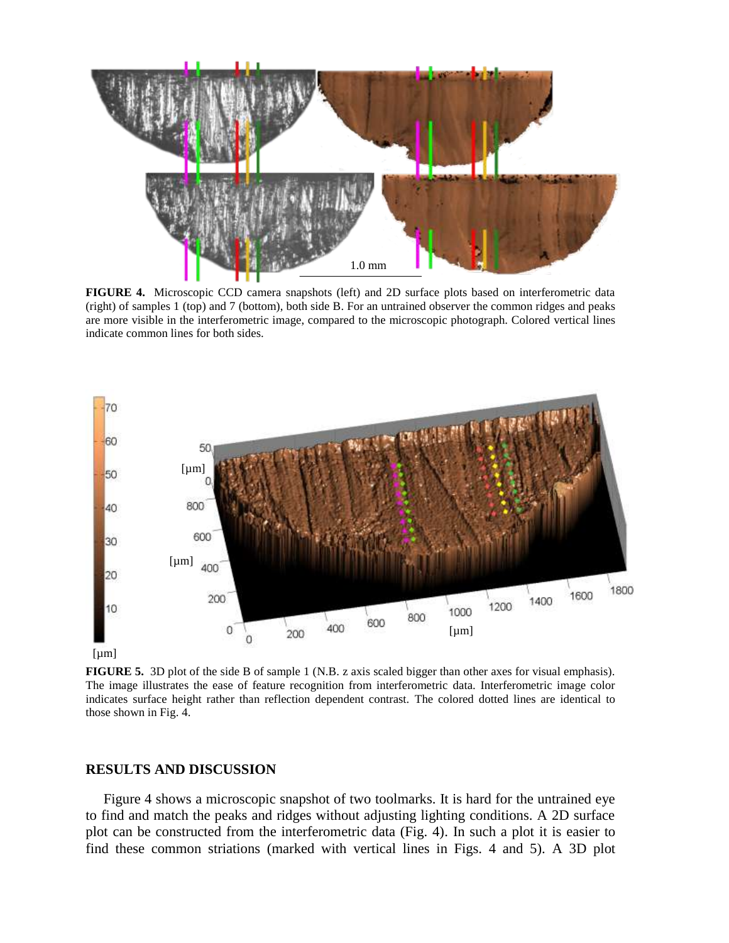

**FIGURE 4.** Microscopic CCD camera snapshots (left) and 2D surface plots based on interferometric data (right) of samples 1 (top) and 7 (bottom), both side B. For an untrained observer the common ridges and peaks are more visible in the interferometric image, compared to the microscopic photograph. Colored vertical lines indicate common lines for both sides.



**FIGURE 5.** 3D plot of the side B of sample 1 (N.B. z axis scaled bigger than other axes for visual emphasis). The image illustrates the ease of feature recognition from interferometric data. Interferometric image color indicates surface height rather than reflection dependent contrast. The colored dotted lines are identical to those shown in Fig. 4.

#### **RESULTS AND DISCUSSION**

 Figure 4 shows a microscopic snapshot of two toolmarks. It is hard for the untrained eye to find and match the peaks and ridges without adjusting lighting conditions. A 2D surface plot can be constructed from the interferometric data (Fig. 4). In such a plot it is easier to find these common striations (marked with vertical lines in Figs. 4 and 5). A 3D plot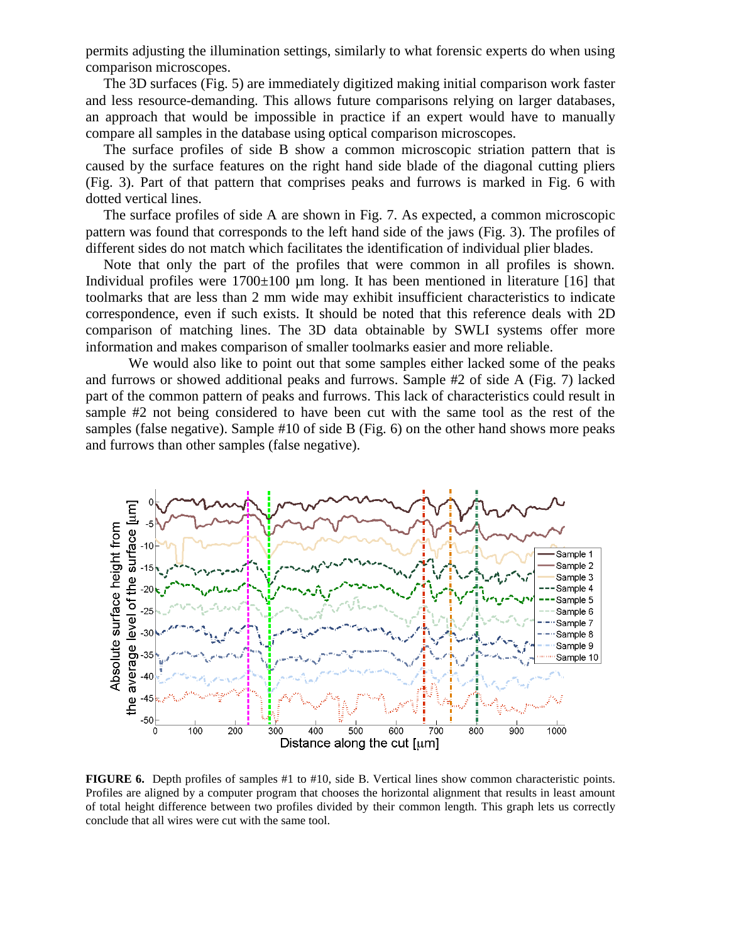permits adjusting the illumination settings, similarly to what forensic experts do when using comparison microscopes.

 The 3D surfaces (Fig. 5) are immediately digitized making initial comparison work faster and less resource-demanding. This allows future comparisons relying on larger databases, an approach that would be impossible in practice if an expert would have to manually compare all samples in the database using optical comparison microscopes.

 The surface profiles of side B show a common microscopic striation pattern that is caused by the surface features on the right hand side blade of the diagonal cutting pliers (Fig. 3). Part of that pattern that comprises peaks and furrows is marked in Fig. 6 with dotted vertical lines.

 The surface profiles of side A are shown in Fig. 7. As expected, a common microscopic pattern was found that corresponds to the left hand side of the jaws (Fig. 3). The profiles of different sides do not match which facilitates the identification of individual plier blades.

 Note that only the part of the profiles that were common in all profiles is shown. Individual profiles were  $1700\pm100$  µm long. It has been mentioned in literature [16] that toolmarks that are less than 2 mm wide may exhibit insufficient characteristics to indicate correspondence, even if such exists. It should be noted that this reference deals with 2D comparison of matching lines. The 3D data obtainable by SWLI systems offer more information and makes comparison of smaller toolmarks easier and more reliable.

We would also like to point out that some samples either lacked some of the peaks and furrows or showed additional peaks and furrows. Sample #2 of side A (Fig. 7) lacked part of the common pattern of peaks and furrows. This lack of characteristics could result in sample #2 not being considered to have been cut with the same tool as the rest of the samples (false negative). Sample #10 of side B (Fig. 6) on the other hand shows more peaks and furrows than other samples (false negative).



**FIGURE 6.** Depth profiles of samples #1 to #10, side B. Vertical lines show common characteristic points. Profiles are aligned by a computer program that chooses the horizontal alignment that results in least amount of total height difference between two profiles divided by their common length. This graph lets us correctly conclude that all wires were cut with the same tool.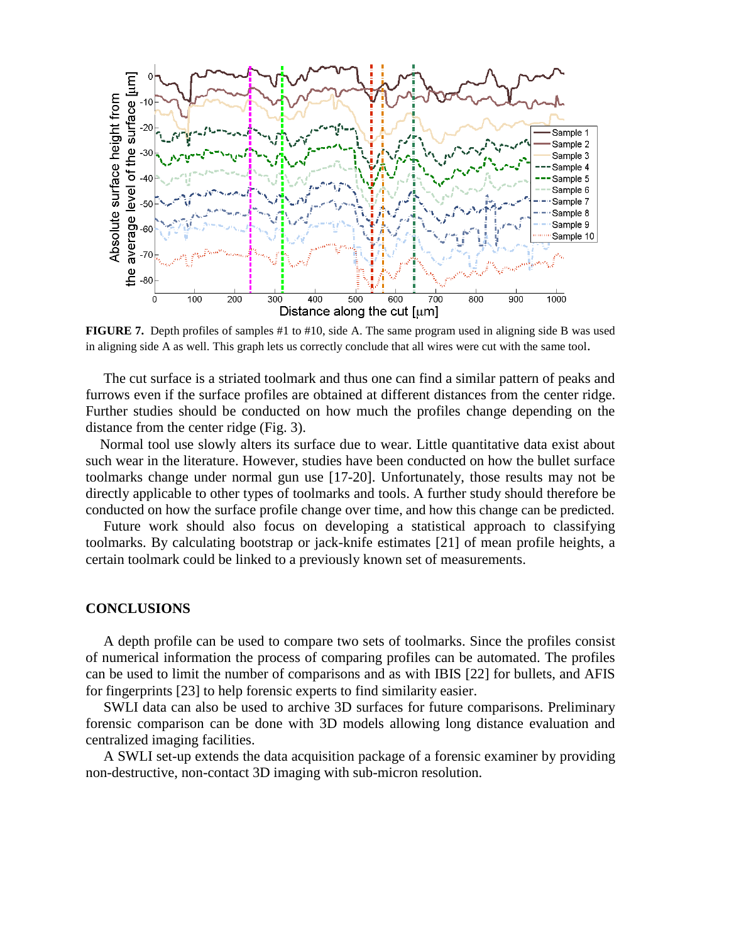

**FIGURE 7.** Depth profiles of samples #1 to #10, side A. The same program used in aligning side B was used in aligning side A as well. This graph lets us correctly conclude that all wires were cut with the same tool.

 The cut surface is a striated toolmark and thus one can find a similar pattern of peaks and furrows even if the surface profiles are obtained at different distances from the center ridge. Further studies should be conducted on how much the profiles change depending on the distance from the center ridge (Fig. 3).

 Normal tool use slowly alters its surface due to wear. Little quantitative data exist about such wear in the literature. However, studies have been conducted on how the bullet surface toolmarks change under normal gun use [17-20]. Unfortunately, those results may not be directly applicable to other types of toolmarks and tools. A further study should therefore be conducted on how the surface profile change over time, and how this change can be predicted.

 Future work should also focus on developing a statistical approach to classifying toolmarks. By calculating bootstrap or jack-knife estimates [21] of mean profile heights, a certain toolmark could be linked to a previously known set of measurements.

#### **CONCLUSIONS**

 A depth profile can be used to compare two sets of toolmarks. Since the profiles consist of numerical information the process of comparing profiles can be automated. The profiles can be used to limit the number of comparisons and as with IBIS [22] for bullets, and AFIS for fingerprints [23] to help forensic experts to find similarity easier.

 SWLI data can also be used to archive 3D surfaces for future comparisons. Preliminary forensic comparison can be done with 3D models allowing long distance evaluation and centralized imaging facilities.

 A SWLI set-up extends the data acquisition package of a forensic examiner by providing non-destructive, non-contact 3D imaging with sub-micron resolution.